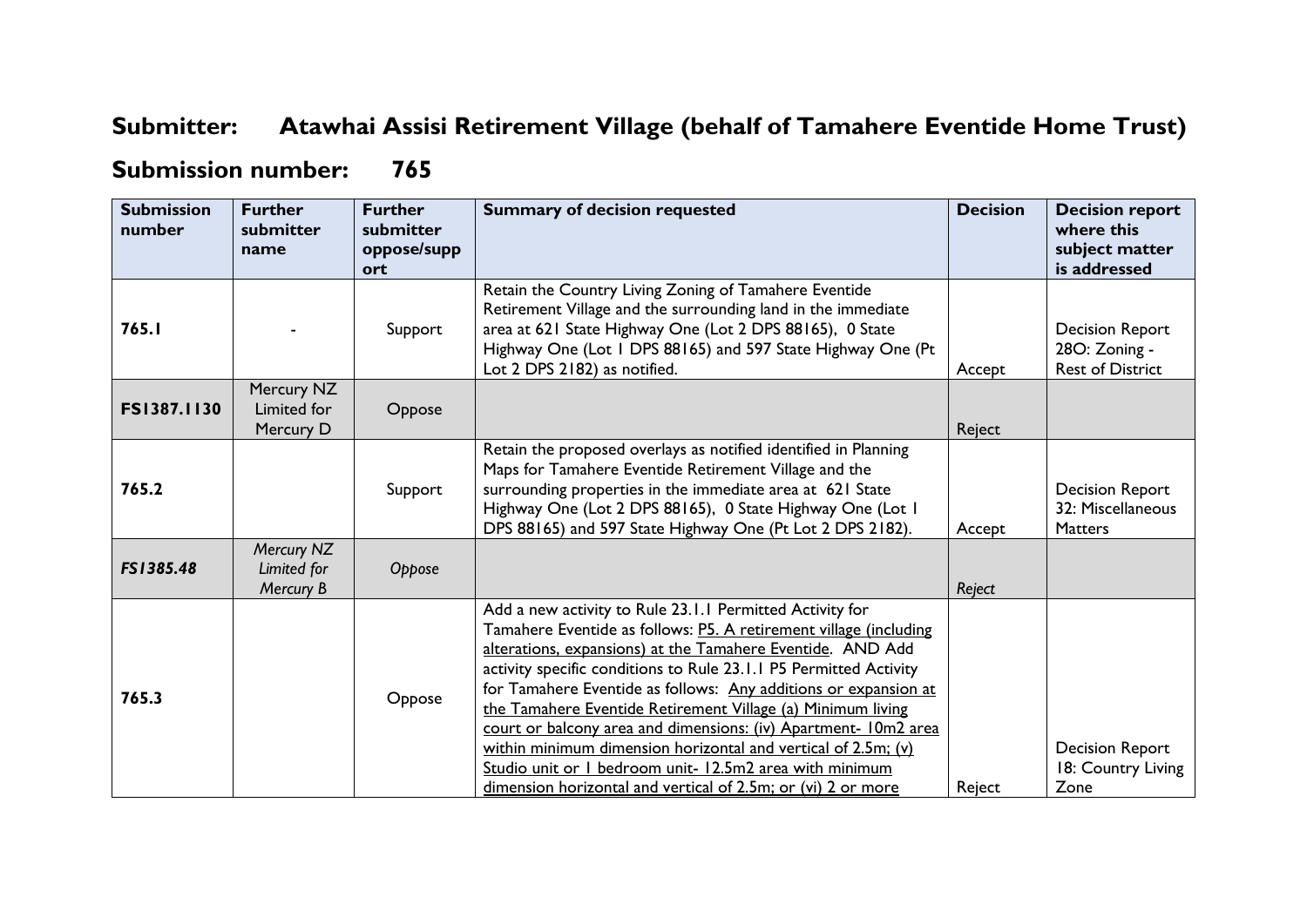## **Submitter: Atawhai Assisi Retirement Village (behalf of Tamahere Eventide Home Trust)**

## **Submission number: 765**

| <b>Submission</b><br>number | <b>Further</b><br>submitter<br>name    | <b>Further</b><br>submitter<br>oppose/supp<br>ort | <b>Summary of decision requested</b>                                                                                                                                                                                                                                                                                                                                                                                                                                                                                                                                                                                                                              | <b>Decision</b> | <b>Decision report</b><br>where this<br>subject matter<br>is addressed |
|-----------------------------|----------------------------------------|---------------------------------------------------|-------------------------------------------------------------------------------------------------------------------------------------------------------------------------------------------------------------------------------------------------------------------------------------------------------------------------------------------------------------------------------------------------------------------------------------------------------------------------------------------------------------------------------------------------------------------------------------------------------------------------------------------------------------------|-----------------|------------------------------------------------------------------------|
| 765.I                       |                                        | Support                                           | Retain the Country Living Zoning of Tamahere Eventide<br>Retirement Village and the surrounding land in the immediate<br>area at 621 State Highway One (Lot 2 DPS 88165), 0 State<br>Highway One (Lot 1 DPS 88165) and 597 State Highway One (Pt<br>Lot 2 DPS 2182) as notified.                                                                                                                                                                                                                                                                                                                                                                                  | Accept          | Decision Report<br>28O: Zoning -<br><b>Rest of District</b>            |
| FS1387.1130                 | Mercury NZ<br>Limited for<br>Mercury D | Oppose                                            |                                                                                                                                                                                                                                                                                                                                                                                                                                                                                                                                                                                                                                                                   | Reject          |                                                                        |
| 765.2                       |                                        | Support                                           | Retain the proposed overlays as notified identified in Planning<br>Maps for Tamahere Eventide Retirement Village and the<br>surrounding properties in the immediate area at 621 State<br>Highway One (Lot 2 DPS 88165), 0 State Highway One (Lot 1<br>DPS 88165) and 597 State Highway One (Pt Lot 2 DPS 2182).                                                                                                                                                                                                                                                                                                                                                   | Accept          | <b>Decision Report</b><br>32: Miscellaneous<br><b>Matters</b>          |
| FS1385.48                   | Mercury NZ<br>Limited for<br>Mercury B | Oppose                                            |                                                                                                                                                                                                                                                                                                                                                                                                                                                                                                                                                                                                                                                                   | Reject          |                                                                        |
| 765.3                       |                                        | Oppose                                            | Add a new activity to Rule 23.1.1 Permitted Activity for<br>Tamahere Eventide as follows: P5. A retirement village (including<br>alterations, expansions) at the Tamahere Eventide. AND Add<br>activity specific conditions to Rule 23.1.1 P5 Permitted Activity<br>for Tamahere Eventide as follows: Any additions or expansion at<br>the Tamahere Eventide Retirement Village (a) Minimum living<br>court or balcony area and dimensions: (iv) Apartment- 10m2 area<br>within minimum dimension horizontal and vertical of 2.5m; (v)<br>Studio unit or I bedroom unit- 12.5m2 area with minimum<br>dimension horizontal and vertical of 2.5m; or (vi) 2 or more | Reject          | Decision Report<br>18: Country Living<br>Zone                          |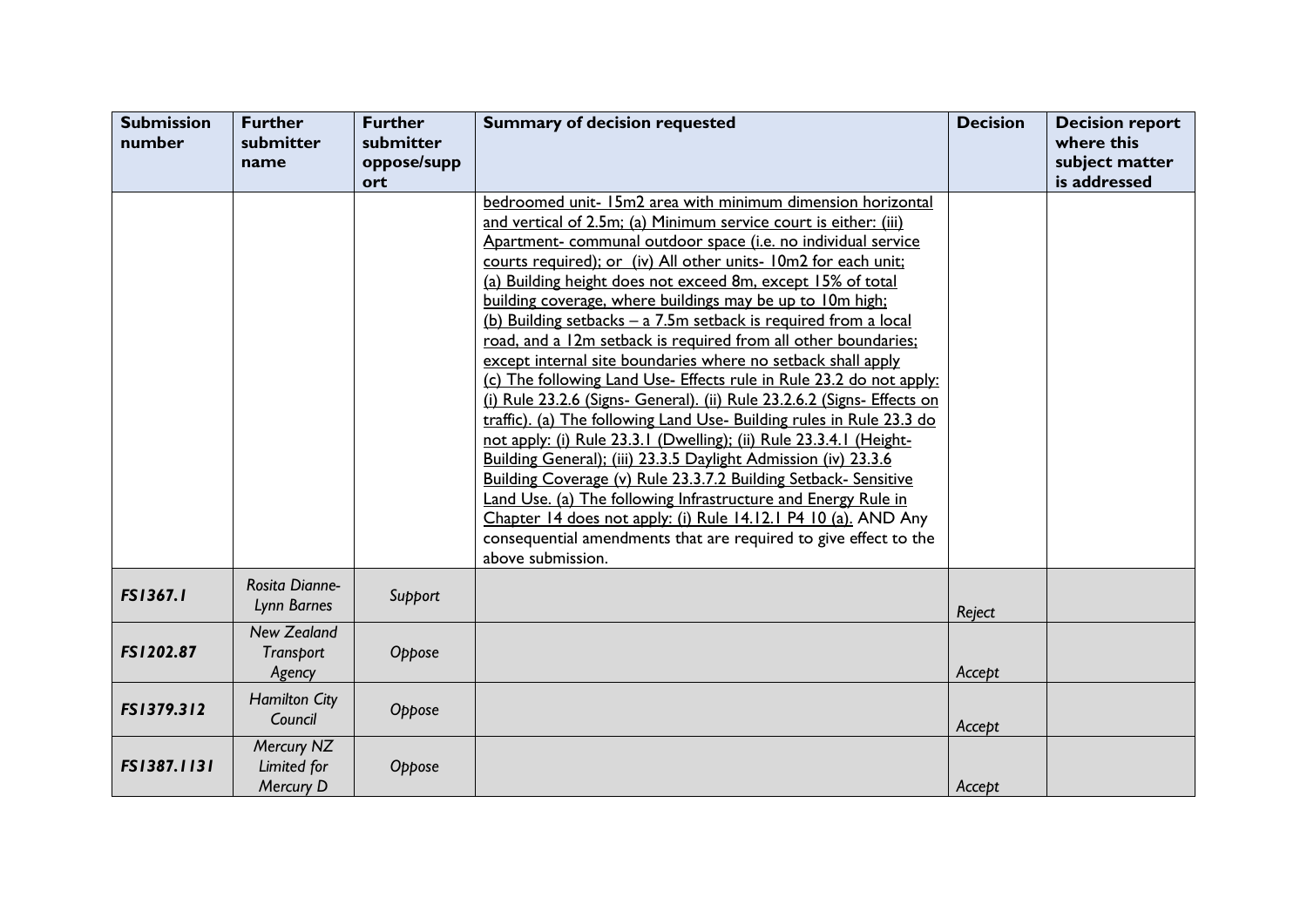| <b>Submission</b><br>number | <b>Further</b><br>submitter<br>name           | <b>Further</b><br>submitter<br>oppose/supp<br>ort | <b>Summary of decision requested</b>                                                                                                                                                                                                                                                                                                                                                                                                                                                                                                                                                                                                                                                                                                                                                                                                                                                                                                                                                                                                                                                                                                                                                                                                                                 | <b>Decision</b> | <b>Decision report</b><br>where this<br>subject matter<br>is addressed |
|-----------------------------|-----------------------------------------------|---------------------------------------------------|----------------------------------------------------------------------------------------------------------------------------------------------------------------------------------------------------------------------------------------------------------------------------------------------------------------------------------------------------------------------------------------------------------------------------------------------------------------------------------------------------------------------------------------------------------------------------------------------------------------------------------------------------------------------------------------------------------------------------------------------------------------------------------------------------------------------------------------------------------------------------------------------------------------------------------------------------------------------------------------------------------------------------------------------------------------------------------------------------------------------------------------------------------------------------------------------------------------------------------------------------------------------|-----------------|------------------------------------------------------------------------|
|                             |                                               |                                                   | bedroomed unit- 15m2 area with minimum dimension horizontal<br>and vertical of 2.5m; (a) Minimum service court is either: (iii)<br>Apartment- communal outdoor space (i.e. no individual service<br>courts required); or (iv) All other units- 10m2 for each unit;<br>(a) Building height does not exceed 8m, except 15% of total<br>building coverage, where buildings may be up to 10m high;<br>(b) Building setbacks - a 7.5m setback is required from a local<br>road, and a 12m setback is required from all other boundaries;<br>except internal site boundaries where no setback shall apply<br>(c) The following Land Use- Effects rule in Rule 23.2 do not apply:<br>(i) Rule 23.2.6 (Signs- General). (ii) Rule 23.2.6.2 (Signs- Effects on<br>traffic). (a) The following Land Use- Building rules in Rule 23.3 do<br>not apply: (i) Rule 23.3.1 (Dwelling); (ii) Rule 23.3.4.1 (Height-<br>Building General); (iii) 23.3.5 Daylight Admission (iv) 23.3.6<br>Building Coverage (v) Rule 23.3.7.2 Building Setback- Sensitive<br>Land Use. (a) The following Infrastructure and Energy Rule in<br>Chapter 14 does not apply: (i) Rule 14.12.1 P4 10 (a). AND Any<br>consequential amendments that are required to give effect to the<br>above submission. |                 |                                                                        |
| <b>FS1367.1</b>             | Rosita Dianne-<br>Lynn Barnes                 | Support                                           |                                                                                                                                                                                                                                                                                                                                                                                                                                                                                                                                                                                                                                                                                                                                                                                                                                                                                                                                                                                                                                                                                                                                                                                                                                                                      | Reject          |                                                                        |
| FS1202.87                   | <b>New Zealand</b><br>Transport<br>Agency     | Oppose                                            |                                                                                                                                                                                                                                                                                                                                                                                                                                                                                                                                                                                                                                                                                                                                                                                                                                                                                                                                                                                                                                                                                                                                                                                                                                                                      | Accept          |                                                                        |
| FS1379.312                  | <b>Hamilton City</b><br>Council               | Oppose                                            |                                                                                                                                                                                                                                                                                                                                                                                                                                                                                                                                                                                                                                                                                                                                                                                                                                                                                                                                                                                                                                                                                                                                                                                                                                                                      | Accept          |                                                                        |
| FS1387.1131                 | Mercury NZ<br>Limited for<br><b>Mercury D</b> | Oppose                                            |                                                                                                                                                                                                                                                                                                                                                                                                                                                                                                                                                                                                                                                                                                                                                                                                                                                                                                                                                                                                                                                                                                                                                                                                                                                                      | Accept          |                                                                        |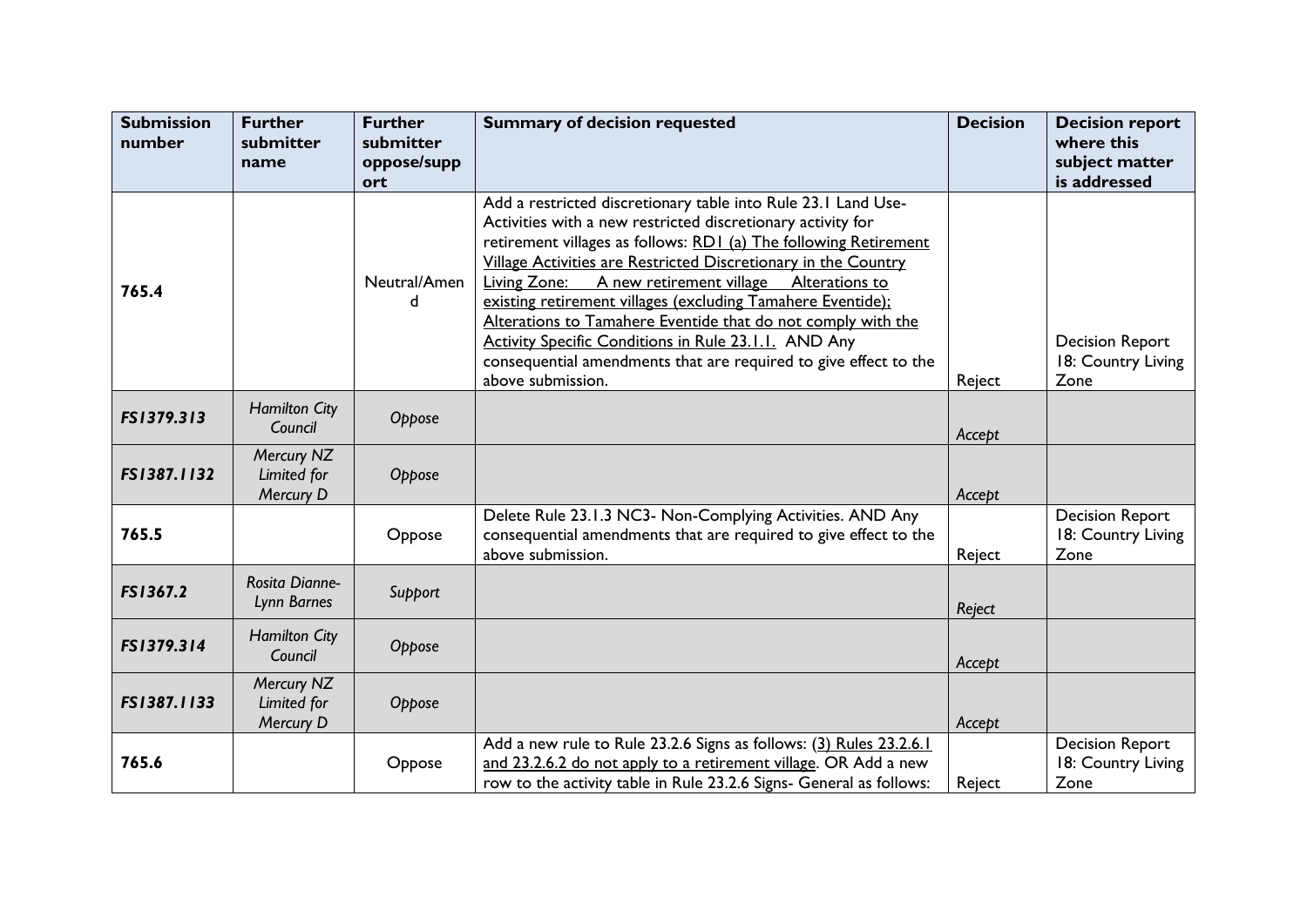| <b>Submission</b><br>number | <b>Further</b><br>submitter<br>name    | <b>Further</b><br>submitter<br>oppose/supp | <b>Summary of decision requested</b>                                                                                                                                                                                                                                                                                                                                                                                                                                                                                                                                                                              | <b>Decision</b> | <b>Decision report</b><br>where this<br>subject matter |
|-----------------------------|----------------------------------------|--------------------------------------------|-------------------------------------------------------------------------------------------------------------------------------------------------------------------------------------------------------------------------------------------------------------------------------------------------------------------------------------------------------------------------------------------------------------------------------------------------------------------------------------------------------------------------------------------------------------------------------------------------------------------|-----------------|--------------------------------------------------------|
|                             |                                        | ort                                        |                                                                                                                                                                                                                                                                                                                                                                                                                                                                                                                                                                                                                   |                 | is addressed                                           |
| 765.4                       |                                        | Neutral/Amen<br>d.                         | Add a restricted discretionary table into Rule 23.1 Land Use-<br>Activities with a new restricted discretionary activity for<br>retirement villages as follows: RD1 (a) The following Retirement<br>Village Activities are Restricted Discretionary in the Country<br>Living Zone: A new retirement village Alterations to<br>existing retirement villages (excluding Tamahere Eventide);<br>Alterations to Tamahere Eventide that do not comply with the<br><b>Activity Specific Conditions in Rule 23.1.1. AND Any</b><br>consequential amendments that are required to give effect to the<br>above submission. | Reject          | <b>Decision Report</b><br>18: Country Living<br>Zone   |
| FS1379.313                  | <b>Hamilton City</b><br>Council        | Oppose                                     |                                                                                                                                                                                                                                                                                                                                                                                                                                                                                                                                                                                                                   | Accept          |                                                        |
| FS1387.1132                 | Mercury NZ<br>Limited for<br>Mercury D | Oppose                                     |                                                                                                                                                                                                                                                                                                                                                                                                                                                                                                                                                                                                                   | Accept          |                                                        |
| 765.5                       |                                        | Oppose                                     | Delete Rule 23.1.3 NC3- Non-Complying Activities. AND Any<br>consequential amendments that are required to give effect to the<br>above submission.                                                                                                                                                                                                                                                                                                                                                                                                                                                                | Reject          | <b>Decision Report</b><br>18: Country Living<br>Zone   |
| FS1367.2                    | <b>Rosita Dianne-</b><br>Lynn Barnes   | Support                                    |                                                                                                                                                                                                                                                                                                                                                                                                                                                                                                                                                                                                                   | Reject          |                                                        |
| FS1379.314                  | <b>Hamilton City</b><br>Council        | Oppose                                     |                                                                                                                                                                                                                                                                                                                                                                                                                                                                                                                                                                                                                   | Accept          |                                                        |
| FS1387.1133                 | Mercury NZ<br>Limited for<br>Mercury D | Oppose                                     |                                                                                                                                                                                                                                                                                                                                                                                                                                                                                                                                                                                                                   | Accept          |                                                        |
| 765.6                       |                                        | Oppose                                     | Add a new rule to Rule 23.2.6 Signs as follows: (3) Rules 23.2.6.1<br>and 23.2.6.2 do not apply to a retirement village. OR Add a new<br>row to the activity table in Rule 23.2.6 Signs- General as follows:                                                                                                                                                                                                                                                                                                                                                                                                      | Reject          | <b>Decision Report</b><br>18: Country Living<br>Zone   |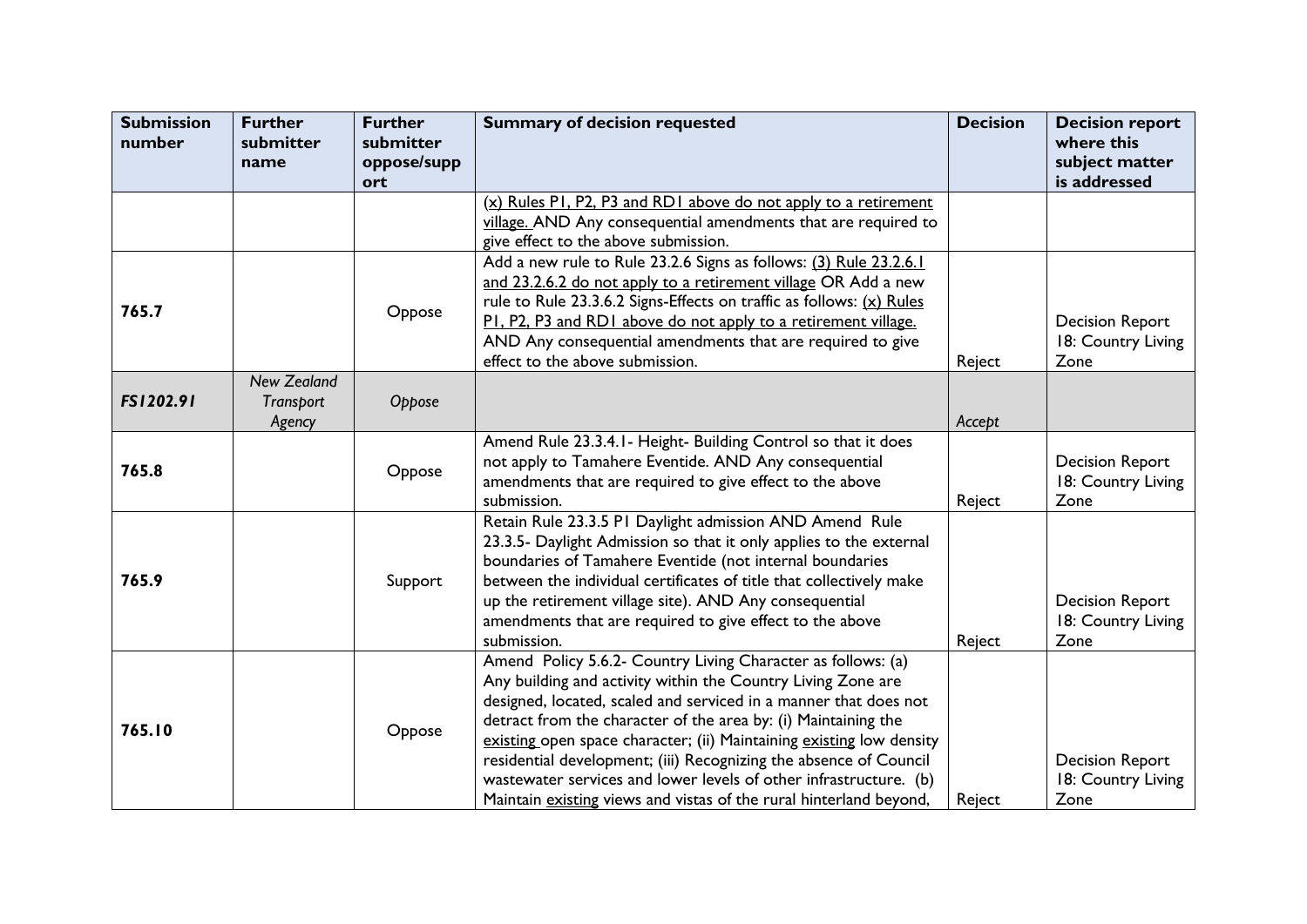| <b>Submission</b><br>number | <b>Further</b><br>submitter | <b>Further</b><br>submitter | <b>Summary of decision requested</b>                                                          | <b>Decision</b> | <b>Decision report</b><br>where this |
|-----------------------------|-----------------------------|-----------------------------|-----------------------------------------------------------------------------------------------|-----------------|--------------------------------------|
|                             | name                        | oppose/supp<br>ort          |                                                                                               |                 | subject matter<br>is addressed       |
|                             |                             |                             | (x) Rules PI, P2, P3 and RD1 above do not apply to a retirement                               |                 |                                      |
|                             |                             |                             | village. AND Any consequential amendments that are required to                                |                 |                                      |
|                             |                             |                             | give effect to the above submission.                                                          |                 |                                      |
|                             |                             |                             | Add a new rule to Rule 23.2.6 Signs as follows: (3) Rule 23.2.6.1                             |                 |                                      |
|                             |                             |                             | and 23.2.6.2 do not apply to a retirement village OR Add a new                                |                 |                                      |
| 765.7                       |                             | Oppose                      | rule to Rule 23.3.6.2 Signs-Effects on traffic as follows: (x) Rules                          |                 |                                      |
|                             |                             |                             | PI, P2, P3 and RD1 above do not apply to a retirement village.                                |                 | <b>Decision Report</b>               |
|                             |                             |                             | AND Any consequential amendments that are required to give<br>effect to the above submission. |                 | 18: Country Living<br>Zone           |
|                             | <b>New Zealand</b>          |                             |                                                                                               | Reject          |                                      |
| FS1202.91                   | Transport                   | Oppose                      |                                                                                               |                 |                                      |
|                             | Agency                      |                             |                                                                                               | Accept          |                                      |
|                             |                             |                             | Amend Rule 23.3.4.1- Height- Building Control so that it does                                 |                 |                                      |
|                             |                             |                             | not apply to Tamahere Eventide. AND Any consequential                                         |                 | <b>Decision Report</b>               |
| 765.8                       |                             | Oppose                      | amendments that are required to give effect to the above                                      |                 | 18: Country Living                   |
|                             |                             |                             | submission.                                                                                   | Reject          | Zone                                 |
|                             |                             |                             | Retain Rule 23.3.5 PI Daylight admission AND Amend Rule                                       |                 |                                      |
|                             |                             |                             | 23.3.5- Daylight Admission so that it only applies to the external                            |                 |                                      |
|                             |                             |                             | boundaries of Tamahere Eventide (not internal boundaries                                      |                 |                                      |
| 765.9                       |                             | Support                     | between the individual certificates of title that collectively make                           |                 |                                      |
|                             |                             |                             | up the retirement village site). AND Any consequential                                        |                 | <b>Decision Report</b>               |
|                             |                             |                             | amendments that are required to give effect to the above                                      |                 | 18: Country Living                   |
|                             |                             |                             | submission.                                                                                   | Reject          | Zone                                 |
|                             |                             |                             | Amend Policy 5.6.2- Country Living Character as follows: (a)                                  |                 |                                      |
|                             |                             |                             | Any building and activity within the Country Living Zone are                                  |                 |                                      |
|                             |                             |                             | designed, located, scaled and serviced in a manner that does not                              |                 |                                      |
| 765.10                      |                             | Oppose                      | detract from the character of the area by: (i) Maintaining the                                |                 |                                      |
|                             |                             |                             | existing open space character; (ii) Maintaining existing low density                          |                 |                                      |
|                             |                             |                             | residential development; (iii) Recognizing the absence of Council                             |                 | <b>Decision Report</b>               |
|                             |                             |                             | wastewater services and lower levels of other infrastructure. (b)                             |                 | 18: Country Living                   |
|                             |                             |                             | Maintain existing views and vistas of the rural hinterland beyond,                            | Reject          | Zone                                 |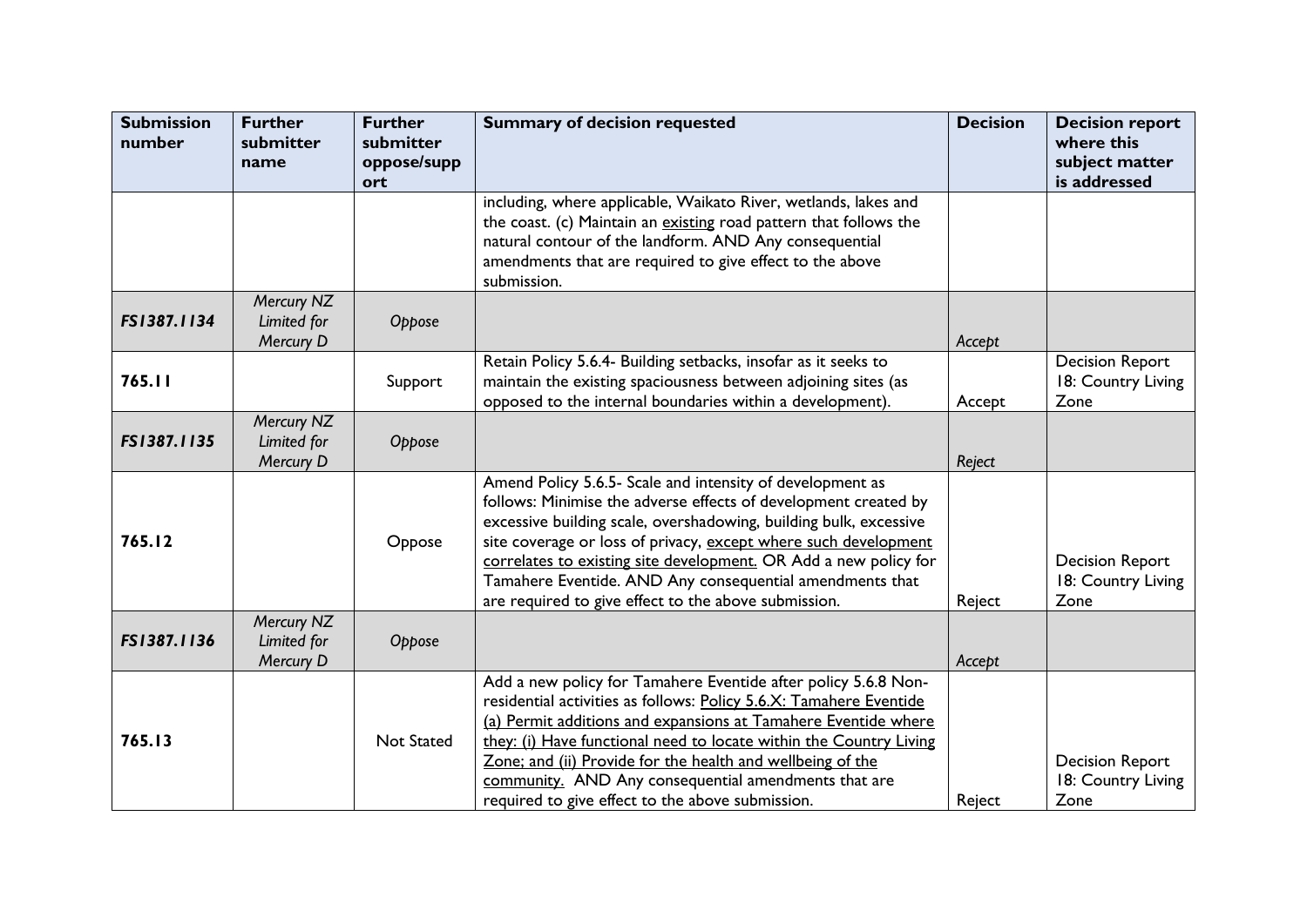| <b>Submission</b><br>number | <b>Further</b><br>submitter<br>name    | <b>Further</b><br>submitter<br>oppose/supp | <b>Summary of decision requested</b>                                                                                                                                                                                                                                                                                                                                                                                                                         | <b>Decision</b> | <b>Decision report</b><br>where this<br>subject matter |
|-----------------------------|----------------------------------------|--------------------------------------------|--------------------------------------------------------------------------------------------------------------------------------------------------------------------------------------------------------------------------------------------------------------------------------------------------------------------------------------------------------------------------------------------------------------------------------------------------------------|-----------------|--------------------------------------------------------|
|                             |                                        | ort                                        |                                                                                                                                                                                                                                                                                                                                                                                                                                                              |                 | is addressed                                           |
|                             |                                        |                                            | including, where applicable, Waikato River, wetlands, lakes and<br>the coast. (c) Maintain an existing road pattern that follows the<br>natural contour of the landform. AND Any consequential<br>amendments that are required to give effect to the above<br>submission.                                                                                                                                                                                    |                 |                                                        |
| FS1387.1134                 | Mercury NZ<br>Limited for<br>Mercury D | Oppose                                     |                                                                                                                                                                                                                                                                                                                                                                                                                                                              | Accept          |                                                        |
| 765.11                      |                                        | Support                                    | Retain Policy 5.6.4- Building setbacks, insofar as it seeks to<br>maintain the existing spaciousness between adjoining sites (as<br>opposed to the internal boundaries within a development).                                                                                                                                                                                                                                                                | Accept          | <b>Decision Report</b><br>18: Country Living<br>Zone   |
| FS1387.1135                 | Mercury NZ<br>Limited for<br>Mercury D | Oppose                                     |                                                                                                                                                                                                                                                                                                                                                                                                                                                              | Reject          |                                                        |
| 765.12                      |                                        | Oppose                                     | Amend Policy 5.6.5- Scale and intensity of development as<br>follows: Minimise the adverse effects of development created by<br>excessive building scale, overshadowing, building bulk, excessive<br>site coverage or loss of privacy, except where such development<br>correlates to existing site development. OR Add a new policy for<br>Tamahere Eventide. AND Any consequential amendments that<br>are required to give effect to the above submission. | Reject          | <b>Decision Report</b><br>18: Country Living<br>Zone   |
| FS1387.1136                 | Mercury NZ<br>Limited for<br>Mercury D | Oppose                                     |                                                                                                                                                                                                                                                                                                                                                                                                                                                              | Accept          |                                                        |
| 765.13                      |                                        | <b>Not Stated</b>                          | Add a new policy for Tamahere Eventide after policy 5.6.8 Non-<br>residential activities as follows: Policy 5.6.X: Tamahere Eventide<br>(a) Permit additions and expansions at Tamahere Eventide where<br>they: (i) Have functional need to locate within the Country Living<br>Zone; and (ii) Provide for the health and wellbeing of the<br>community. AND Any consequential amendments that are<br>required to give effect to the above submission.       | Reject          | <b>Decision Report</b><br>18: Country Living<br>Zone   |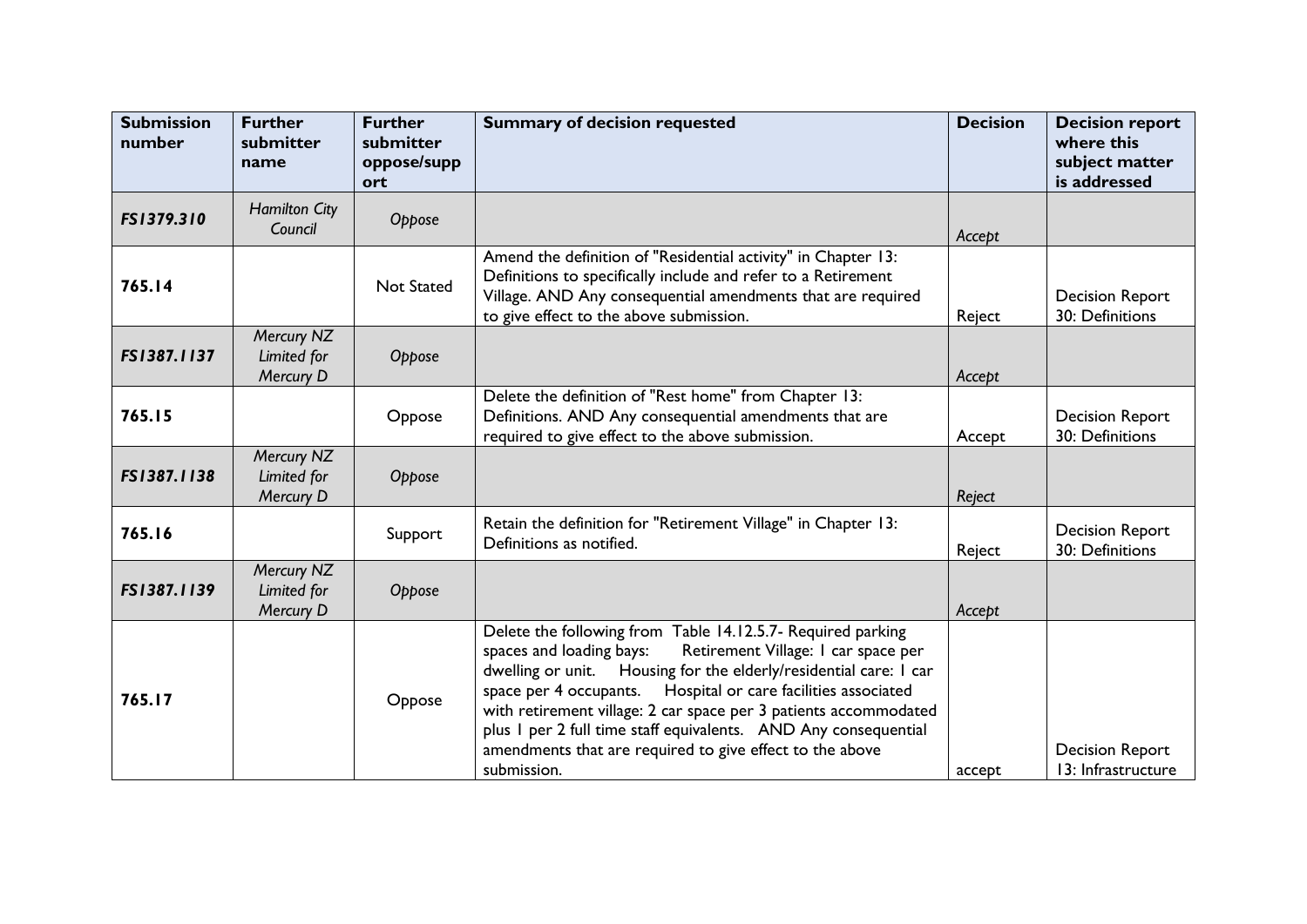| <b>Submission</b><br>number | <b>Further</b><br>submitter<br>name    | <b>Further</b><br>submitter<br>oppose/supp<br>ort | <b>Summary of decision requested</b>                                                                                                                                                                                                                                                                                                                                                                                                                                                      | <b>Decision</b> | <b>Decision report</b><br>where this<br>subject matter<br>is addressed |
|-----------------------------|----------------------------------------|---------------------------------------------------|-------------------------------------------------------------------------------------------------------------------------------------------------------------------------------------------------------------------------------------------------------------------------------------------------------------------------------------------------------------------------------------------------------------------------------------------------------------------------------------------|-----------------|------------------------------------------------------------------------|
| FS1379.310                  | <b>Hamilton City</b><br>Council        | Oppose                                            |                                                                                                                                                                                                                                                                                                                                                                                                                                                                                           | Accept          |                                                                        |
| 765.14                      |                                        | <b>Not Stated</b>                                 | Amend the definition of "Residential activity" in Chapter 13:<br>Definitions to specifically include and refer to a Retirement<br>Village. AND Any consequential amendments that are required<br>to give effect to the above submission.                                                                                                                                                                                                                                                  | Reject          | <b>Decision Report</b><br>30: Definitions                              |
| FS1387.1137                 | Mercury NZ<br>Limited for<br>Mercury D | Oppose                                            |                                                                                                                                                                                                                                                                                                                                                                                                                                                                                           | Accept          |                                                                        |
| 765.15                      |                                        | Oppose                                            | Delete the definition of "Rest home" from Chapter 13:<br>Definitions. AND Any consequential amendments that are<br>required to give effect to the above submission.                                                                                                                                                                                                                                                                                                                       | Accept          | <b>Decision Report</b><br>30: Definitions                              |
| FS1387.1138                 | Mercury NZ<br>Limited for<br>Mercury D | Oppose                                            |                                                                                                                                                                                                                                                                                                                                                                                                                                                                                           | Reject          |                                                                        |
| 765.16                      |                                        | Support                                           | Retain the definition for "Retirement Village" in Chapter 13:<br>Definitions as notified.                                                                                                                                                                                                                                                                                                                                                                                                 | Reject          | <b>Decision Report</b><br>30: Definitions                              |
| FS1387.1139                 | Mercury NZ<br>Limited for<br>Mercury D | Oppose                                            |                                                                                                                                                                                                                                                                                                                                                                                                                                                                                           | Accept          |                                                                        |
| 765.17                      |                                        | Oppose                                            | Delete the following from Table 14.12.5.7- Required parking<br>Retirement Village: I car space per<br>spaces and loading bays:<br>dwelling or unit. Housing for the elderly/residential care: I car<br>space per 4 occupants.<br>Hospital or care facilities associated<br>with retirement village: 2 car space per 3 patients accommodated<br>plus I per 2 full time staff equivalents. AND Any consequential<br>amendments that are required to give effect to the above<br>submission. | accept          | <b>Decision Report</b><br>13: Infrastructure                           |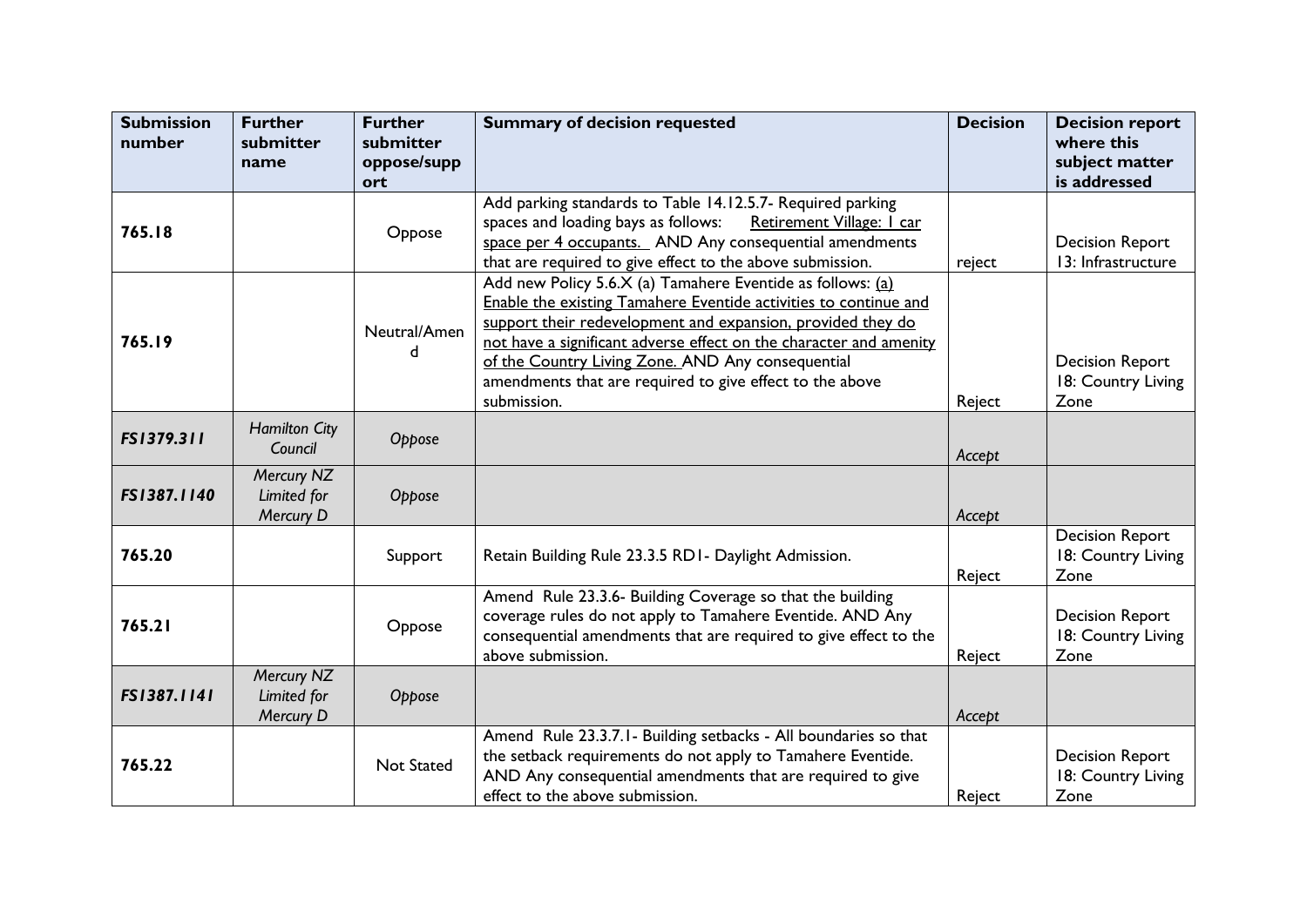| <b>Submission</b><br>number | <b>Further</b><br>submitter<br>name    | <b>Further</b><br>submitter<br>oppose/supp | <b>Summary of decision requested</b>                                                                                                                                                                                                                                                                                                                                                                | <b>Decision</b> | <b>Decision report</b><br>where this<br>subject matter |
|-----------------------------|----------------------------------------|--------------------------------------------|-----------------------------------------------------------------------------------------------------------------------------------------------------------------------------------------------------------------------------------------------------------------------------------------------------------------------------------------------------------------------------------------------------|-----------------|--------------------------------------------------------|
|                             |                                        | ort                                        |                                                                                                                                                                                                                                                                                                                                                                                                     |                 | is addressed                                           |
| 765.18                      |                                        | Oppose                                     | Add parking standards to Table 14.12.5.7- Required parking<br>spaces and loading bays as follows:<br>Retirement Village: I car<br>space per 4 occupants. AND Any consequential amendments<br>that are required to give effect to the above submission.                                                                                                                                              | reject          | <b>Decision Report</b><br>13: Infrastructure           |
| 765.19                      |                                        | Neutral/Amen<br>d                          | Add new Policy 5.6.X (a) Tamahere Eventide as follows: (a)<br>Enable the existing Tamahere Eventide activities to continue and<br>support their redevelopment and expansion, provided they do<br>not have a significant adverse effect on the character and amenity<br>of the Country Living Zone. AND Any consequential<br>amendments that are required to give effect to the above<br>submission. | Reject          | <b>Decision Report</b><br>18: Country Living<br>Zone   |
| FS1379.311                  | <b>Hamilton City</b><br>Council        | Oppose                                     |                                                                                                                                                                                                                                                                                                                                                                                                     | Accept          |                                                        |
| FS1387.1140                 | Mercury NZ<br>Limited for<br>Mercury D | Oppose                                     |                                                                                                                                                                                                                                                                                                                                                                                                     | Accept          |                                                        |
| 765.20                      |                                        | Support                                    | Retain Building Rule 23.3.5 RD1- Daylight Admission.                                                                                                                                                                                                                                                                                                                                                | Reject          | <b>Decision Report</b><br>18: Country Living<br>Zone   |
| 765.21                      |                                        | Oppose                                     | Amend Rule 23.3.6- Building Coverage so that the building<br>coverage rules do not apply to Tamahere Eventide. AND Any<br>consequential amendments that are required to give effect to the<br>above submission.                                                                                                                                                                                     | Reject          | <b>Decision Report</b><br>18: Country Living<br>Zone   |
| FS1387.1141                 | Mercury NZ<br>Limited for<br>Mercury D | Oppose                                     |                                                                                                                                                                                                                                                                                                                                                                                                     | Accept          |                                                        |
| 765.22                      |                                        | <b>Not Stated</b>                          | Amend Rule 23.3.7.1 - Building setbacks - All boundaries so that<br>the setback requirements do not apply to Tamahere Eventide.<br>AND Any consequential amendments that are required to give<br>effect to the above submission.                                                                                                                                                                    | Reject          | <b>Decision Report</b><br>18: Country Living<br>Zone   |